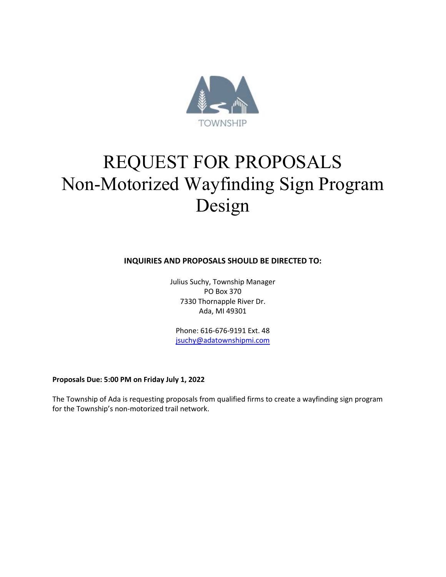

# REQUEST FOR PROPOSALS Non-Motorized Wayfinding Sign Program Design

**INQUIRIES AND PROPOSALS SHOULD BE DIRECTED TO:**

Julius Suchy, Township Manager PO Box 370 7330 Thornapple River Dr. Ada, MI 49301

Phone: 616-676-9191 Ext. 48 [jsuchy@adatownshipmi.com](mailto:jsuchy@adatownshipmi.com)

**Proposals Due: 5:00 PM on Friday July 1, 2022**

The Township of Ada is requesting proposals from qualified firms to create a wayfinding sign program for the Township's non-motorized trail network.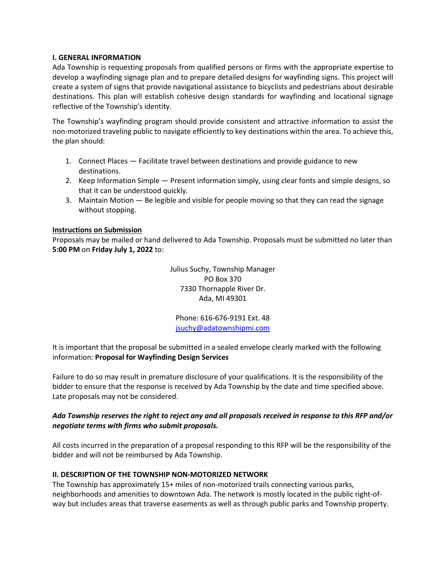#### **I. GENERAL INFORMATION**

Ada Township is requesting proposals from qualified persons or firms with the appropriate expertise to develop a wayfinding signage plan and to prepare detailed designs for wayfinding signs. This project will create a system of signs that provide navigational assistance to bicyclists and pedestrians about desirable destinations. This plan will establish cohesive design standards for wayfinding and locational signage reflective of the Township's identity.

The Township's wayfinding program should provide consistent and attractive information to assist the non-motorized traveling public to navigate efficiently to key destinations within the area. To achieve this, the plan should:

- 1. Connect Places Facilitate travel between destinations and provide guidance to new destinations.
- 2. Keep Information Simple Present information simply, using clear fonts and simple designs, so that it can be understood quickly.
- 3. Maintain Motion Be legible and visible for people moving so that they can read the signage without stopping.

### **Instructions on Submission**

Proposals may be mailed or hand delivered to Ada Township. Proposals must be submitted no later than **5:00 PM** on **Friday July 1, 2022** to:

> Julius Suchy, Township Manager PO Box 370 7330 Thornapple River Dr. Ada, MI 49301

Phone: 616-676-9191 Ext. 48 [jsuchy@adatownshipmi.com](mailto:jsuchy@adatownshipmi.com)

It is important that the proposal be submitted in a sealed envelope clearly marked with the following information: **Proposal for Wayfinding Design Services**

Failure to do so may result in premature disclosure of your qualifications. It is the responsibility of the bidder to ensure that the response is received by Ada Township by the date and time specified above. Late proposals may not be considered.

## *Ada Township reserves the right to reject any and all proposals received in response to this RFP and/or negotiate terms with firms who submit proposals.*

All costs incurred in the preparation of a proposal responding to this RFP will be the responsibility of the bidder and will not be reimbursed by Ada Township.

### **II. DESCRIPTION OF THE TOWNSHIP NON-MOTORIZED NETWORK**

The Township has approximately 15+ miles of non-motorized trails connecting various parks, neighborhoods and amenities to downtown Ada. The network is mostly located in the public right-ofway but includes areas that traverse easements as well as through public parks and Township property.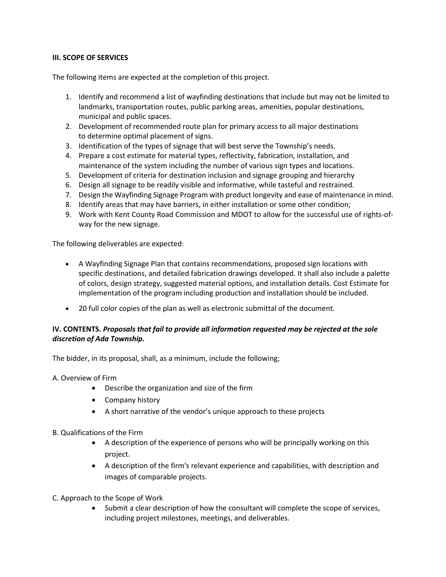### **III. SCOPE OF SERVICES**

The following items are expected at the completion of this project.

- 1. Identify and recommend a list of wayfinding destinations that include but may not be limited to landmarks, transportation routes, public parking areas, amenities, popular destinations, municipal and public spaces.
- 2. Development of recommended route plan for primary access to all major destinations to determine optimal placement of signs.
- 3. Identification of the types of signage that will best serve the Township's needs.
- 4. Prepare a cost estimate for material types, reflectivity, fabrication, installation, and maintenance of the system including the number of various sign types and locations.
- 5. Development of criteria for destination inclusion and signage grouping and hierarchy
- 6. Design all signage to be readily visible and informative, while tasteful and restrained.
- 7. Design the Wayfinding Signage Program with product longevity and ease of maintenance in mind.
- 8. Identify areas that may have barriers, in either installation or some other condition;
- 9. Work with Kent County Road Commission and MDOT to allow for the successful use of rights-ofway for the new signage.

The following deliverables are expected:

- A Wayfinding Signage Plan that contains recommendations, proposed sign locations with specific destinations, and detailed fabrication drawings developed. It shall also include a palette of colors, design strategy, suggested material options, and installation details. Cost Estimate for implementation of the program including production and installation should be included.
- 20 full color copies of the plan as well as electronic submittal of the document.

## **IV. CONTENTS.** *Proposals that fail to provide all information requested may be rejected at the sole discretion of Ada Township.*

The bidder, in its proposal, shall, as a minimum, include the following;

- A. Overview of Firm
	- Describe the organization and size of the firm
	- Company history
	- A short narrative of the vendor's unique approach to these projects
- B. Qualifications of the Firm
	- A description of the experience of persons who will be principally working on this project.
	- A description of the firm's relevant experience and capabilities, with description and images of comparable projects.
- C. Approach to the Scope of Work
	- Submit a clear description of how the consultant will complete the scope of services, including project milestones, meetings, and deliverables.